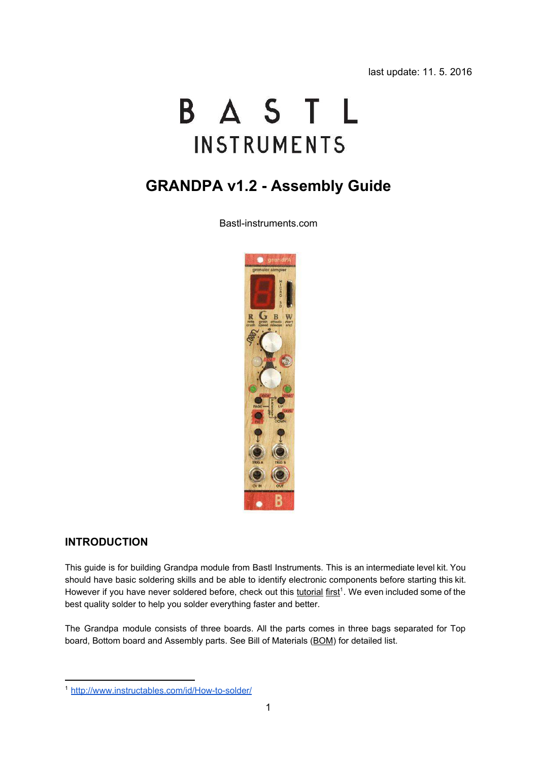last update: 11. 5. 2016

# BASTL **INSTRUMENTS**

# **GRANDPA v1.2 Assembly Guide**

Bastl-instruments.com



# **INTRODUCTION**

This guide is for building Grandpa module from Bastl Instruments. This is an intermediate level kit. You should have basic soldering skills and be able to identify electronic components before starting this kit. However if you have never soldered before, check out this tutorial first<sup>1</sup>. We even included some of the best quality solder to help you solder everything faster and better.

The Grandpa module consists of three boards. All the parts comes in three bags separated for Top board, Bottom board and Assembly parts. See Bill of Materials ([BOM](https://docs.google.com/spreadsheets/d/1lIWYThGwB1_UzvAYKBEnRWiSyGvaK6qSpzKDS2rX8qQ/pubhtml)) for detailed list.

<sup>&</sup>lt;sup>1</sup> http://www.instructables.com/id/How-to-solder/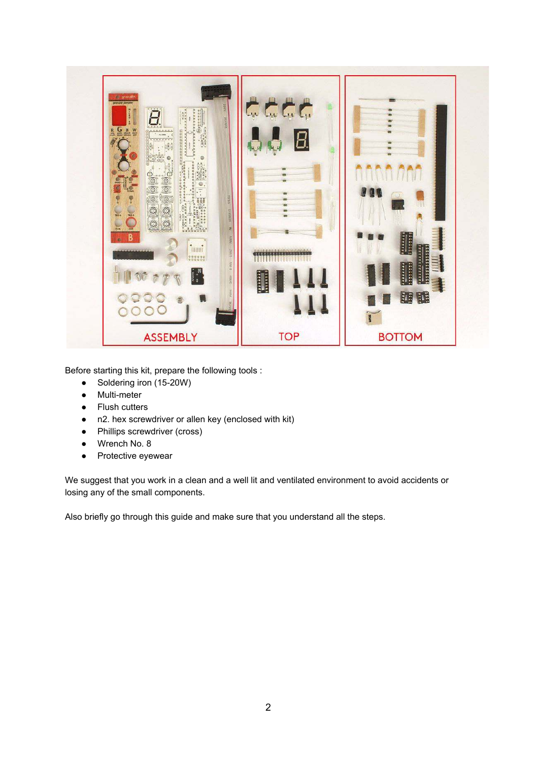

Before starting this kit, prepare the following tools :

- Soldering iron (15-20W)
- Multi-meter
- Flush cutters
- n2. hex screwdriver or allen key (enclosed with kit)
- Phillips screwdriver (cross)
- Wrench No. 8
- Protective eyewear

We suggest that you work in a clean and a well lit and ventilated environment to avoid accidents or losing any of the small components.

Also briefly go through this guide and make sure that you understand all the steps.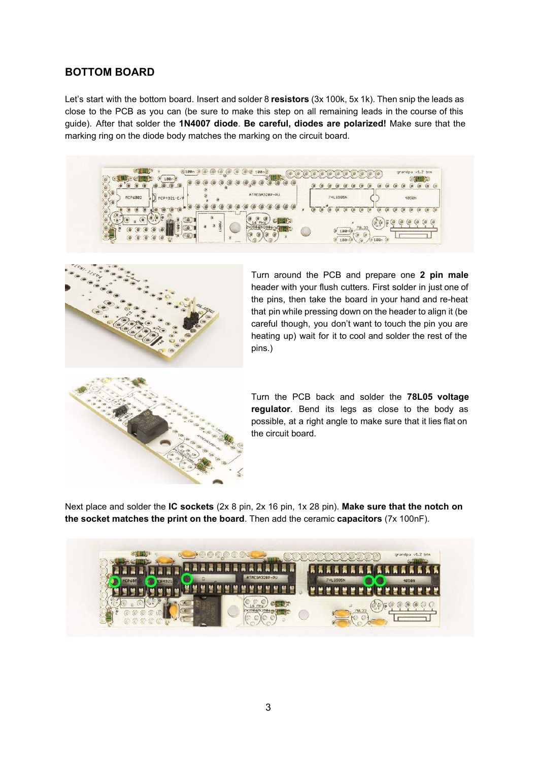# **BOTTOM BOARD**

Let's start with the bottom board. Insert and solder 8 **resistors** (3x 100k, 5x 1k). Then snip the leads as close to the PCB as you can (be sure to make this step on all remaining leads in the course of this guide). After that solder the **1N4007 diode**. **Be careful, diodes are polarized!**  Make sure that the marking ring on the diode body matches the marking on the circuit board.

THE THE CASSOO OIL  $\overline{a}$  $60$  $\overline{a}$  $\overline{G}$ 



Turn around the PCB and prepare one **2 pin male**  header with your flush cutters. First solder in just one of the pins, then take the board in your hand and re-heat that pin while pressing down on the header to align it (be careful though, you don't want to touch the pin you are heating up) wait for it to cool and solder the rest of the pins.)



Turn the PCB back and solder the **78L05 voltage regulator**. Bend its legs as close to the body as possible, at a right angle to make sure that it lies flat on the circuit board.

Next place and solder the **IC sockets** (2x 8 pin, 2x 16 pin, 1x 28 pin). **Make sure that the notch on the socket matches the print on the board**. Then add the ceramic **capacitors** (7x 100nF).

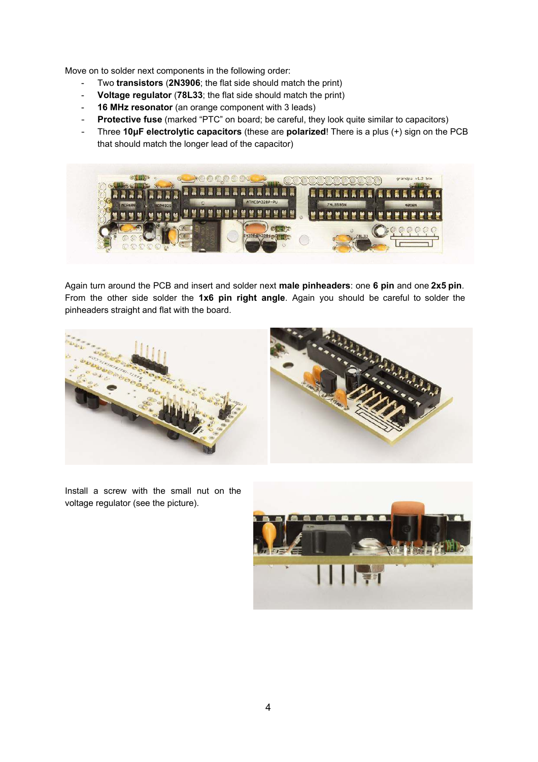Move on to solder next components in the following order:

- Two **transistors** (**2N3906**; the flat side should match the print)
- **Voltage regulator** (**78L33**; the flat side should match the print)
- **16 MHz resonator** (an orange component with 3 leads)
- **Protective fuse** (marked "PTC" on board; be careful, they look quite similar to capacitors)
- Three **10μF electrolytic capacitors** (these are **polarized**! There is a plus (+) sign on the PCB that should match the longer lead of the capacitor)



Again turn around the PCB and insert and solder next **male pinheaders**: one **6 pin** and one **2x5 pin**. From the other side solder the 1x6 pin right angle. Again you should be careful to solder the pinheaders straight and flat with the board.



Install a screw with the small nut on the voltage regulator (see the picture).

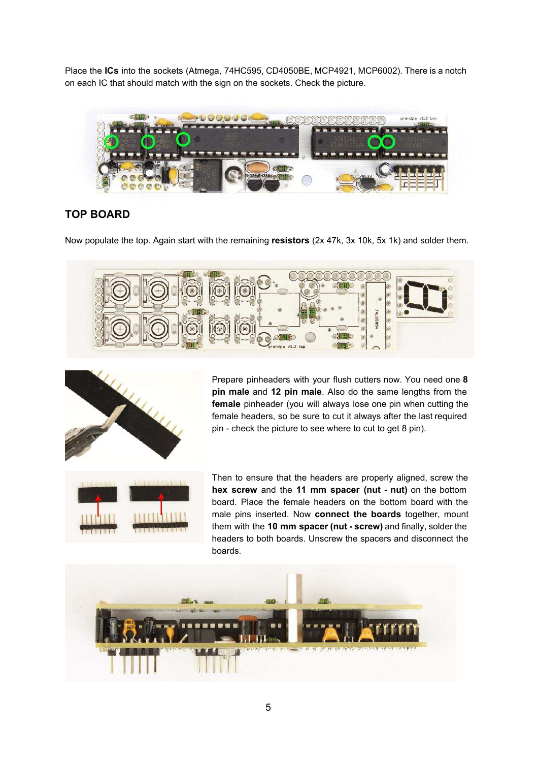Place the **ICs** into the sockets (Atmega, 74HC595, CD4050BE, MCP4921, MCP6002). There is a notch on each IC that should match with the sign on the sockets. Check the picture.



### **TOP BOARD**

Now populate the top. Again start with the remaining **resistors** (2x 47k, 3x 10k, 5x 1k) and solder them.





Prepare pinheaders with your flush cutters now. You need one 8 **pin male** and 12 pin male. Also do the same lengths from the **female** pinheader (you will always lose one pin when cutting the female headers, so be sure to cut it always after the last required pin - check the picture to see where to cut to get 8 pin).



Then to ensure that the headers are properly aligned, screw the hex screw and the 11 mm spacer (nut - nut) on the bottom board. Place the female headers on the bottom board with the male pins inserted. Now **connect the boards** together, mount them with the **10 mm spacer (nut - screw)** and finally, solder the headers to both boards. Unscrew the spacers and disconnect the boards.

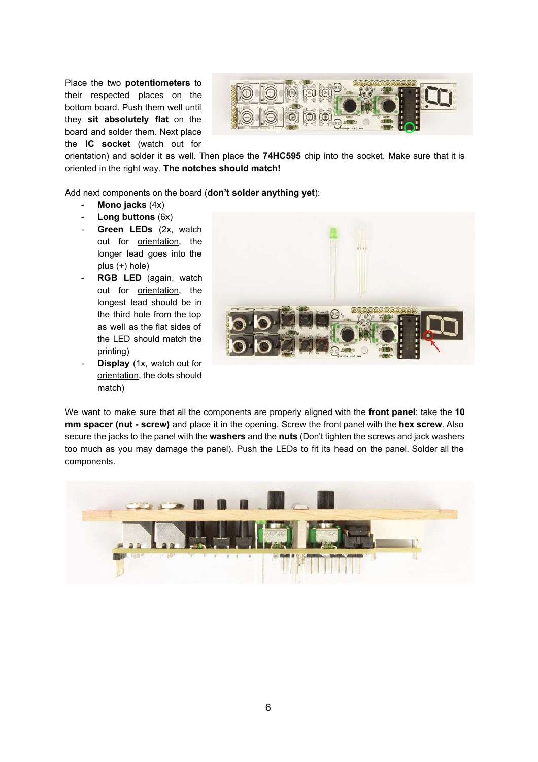Place the two **potentiometers** to their respected places on the bottom board. Push them well until they sit absolutely flat on the board and solder them. Next place the **IC socket** (watch out for



orientation) and solder it as well. Then place the **74HC595** chip into the socket. Make sure that it is oriented in the right way. **The notches should match!**

Add next components on the board (**don't solder anything yet**):

- **Mono jacks** (4x)
- **Long buttons** (6x)
- **Green LEDs** (2x, watch out for orientation, the longer lead goes into the plus (+) hole)
- **RGB LED** (again, watch out for orientation, the longest lead should be in the third hole from the top as well as the flat sides of the LED should match the printing)
- **Display** (1x, watch out for orientation, the dots should match)



We want to make sure that all the components are properly aligned with the **front panel**: take the **10 mm spacer (nut - screw)** and place it in the opening. Screw the front panel with the hex screw. Also secure the jacks to the panel with the **washers** and the **nuts** (Don't tighten the screws and jack washers too much as you may damage the panel). Push the LEDs to fit its head on the panel. Solder all the components.

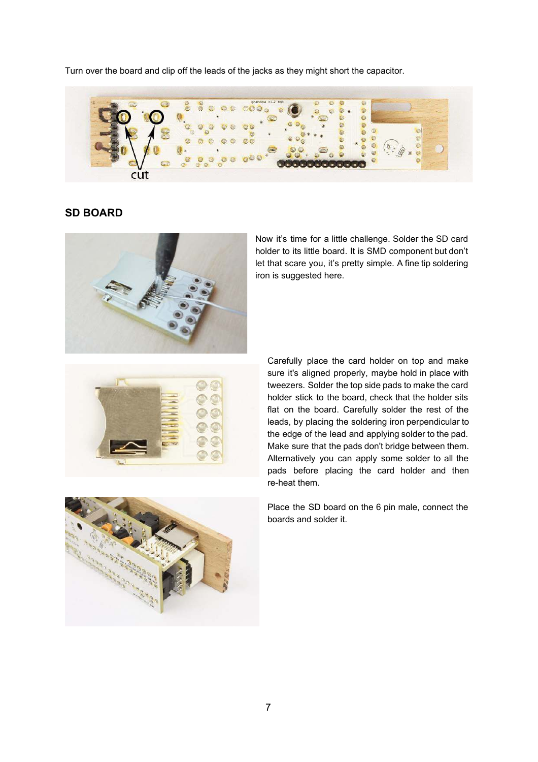Turn over the board and clip off the leads of the jacks as they might short the capacitor.



### **SD BOARD**



Now it's time for a little challenge. Solder the SD card holder to its little board. It is SMD component but don't let that scare you, it's pretty simple. A fine tip soldering iron is suggested here.



Carefully place the card holder on top and make sure it's aligned properly, maybe hold in place with tweezers. Solder the top side pads to make the card holder stick to the board, check that the holder sits flat on the board. Carefully solder the rest of the leads, by placing the soldering iron perpendicular to the edge of the lead and applying solder to the pad. Make sure that the pads don't bridge between them. Alternatively you can apply some solder to all the pads before placing the card holder and then re-heat them.



Place the SD board on the 6 pin male, connect the boards and solder it.